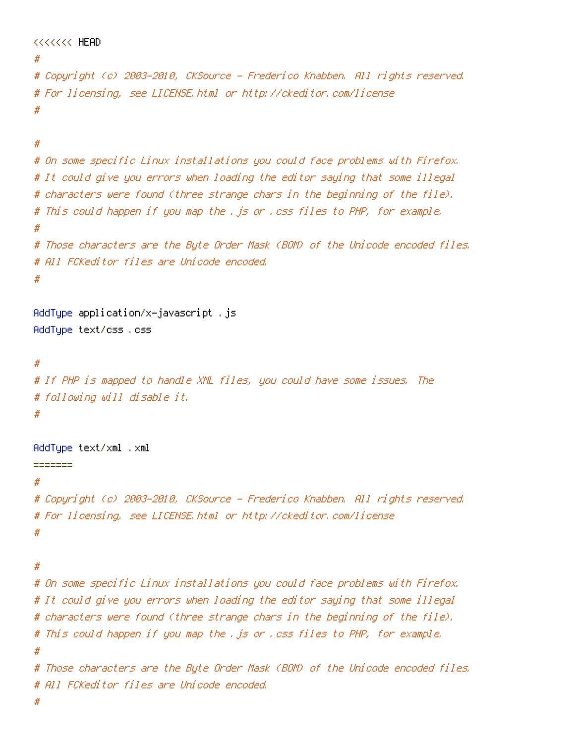```
<<<<<<< HEAD
#
# Copyright (c) 2003-2010, CKSource - Frederico Knabben. All rights reserved.
# For licensing, see LICENSE.html or http://ckeditor.com/license
#
#
# On some specific Linux installations you could face problems with Firefox.
# It could give you errors when loading the editor saying that some illegal
# characters were found (three strange chars in the beginning of the file).
# This could happen if you map the .js or .css files to PHP, for example.
#
# Those characters are the Byte Order Mask (BOM) of the Unicode encoded files.
# All FCKeditor files are Unicode encoded.
#
AddType application/x-javascript .js
AddType text/css .css
#
# If PHP is mapped to handle XML files, you could have some issues. The
# following will disable it.
#
AddType text/xml .xml
=======
#
# Copyright (c) 2003-2010, CKSource - Frederico Knabben. All rights reserved.
# For licensing, see LICENSE.html or http://ckeditor.com/license
#
#
# On some specific Linux installations you could face problems with Firefox.
# It could give you errors when loading the editor saying that some illegal
# characters were found (three strange chars in the beginning of the file).
# This could happen if you map the .js or .css files to PHP, for example.
#
# Those characters are the Byte Order Mask (BOM) of the Unicode encoded files.
# All FCKeditor files are Unicode encoded.
```
#